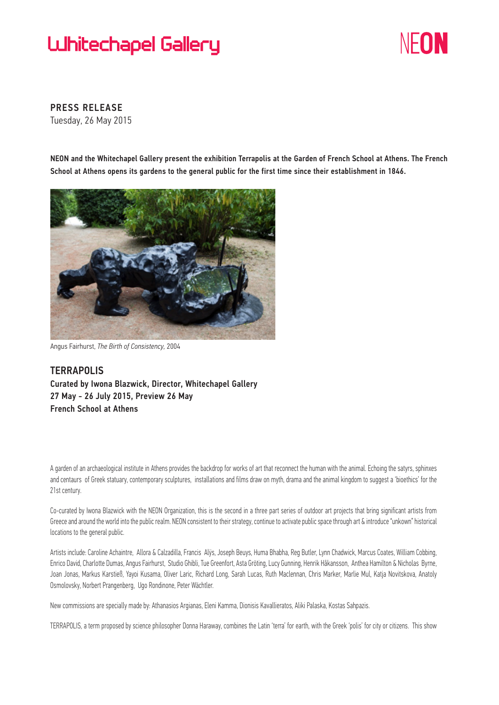## **Luhitechapel Gallery**



PRESS RELEASE Tuesday, 26 May 2015

NEON and the Whitechapel Gallery present the exhibition Terrapolis at the Garden of French School at Athens. The French School at Athens opens its gardens to the general public for the first time since their establishment in 1846.



Angus Fairhurst, *The Birth of Consistency,* 2004

**TERRAPOLIS** Curated by Iwona Blazwick, Director, Whitechapel Gallery 27 May - 26 July 2015, Preview 26 May French School at Athens

A garden of an archaeological institute in Athens provides the backdrop for works of art that reconnect the human with the animal. Echoing the satyrs, sphinxes and centaurs of Greek statuary, contemporary sculptures, installations and films draw on myth, drama and the animal kingdom to suggest a 'bioethics' for the 21st century.

Co-curated by Iwona Blazwick with the NEON Organization, this is the second in a three part series of outdoor art projects that bring significant artists from Greece and around the world into the public realm. NEON consistent to their strategy, continue to activate public space through art & introduce "unkown" historical locations to the general public.

Artists include: Caroline Achaintre, Allora & Calzadilla, Francis Alÿs, Joseph Beuys, Huma Bhabha, Reg Butler, Lynn Chadwick, Marcus Coates, William Cobbing, Enrico David, Charlotte Dumas, Angus Fairhurst, Studio Ghibli, Tue Greenfort, Asta Gröting, Lucy Gunning, Henrik Håkansson, Anthea Hamilton & Nicholas Byrne, Joan Jonas, Markus Karstieß, Yayoi Kusama, Oliver Laric, Richard Long, Sarah Lucas, Ruth Maclennan, Chris Marker, Marlie Mul, Katja Novitskova, Anatoly Osmolovsky, Norbert Prangenberg, Ugo Rondinone, Peter Wächtler.

New commissions are specially made by: Athanasios Argianas, Eleni Kamma, Dionisis Kavallieratos, Aliki Palaska, Kostas Sahpazis.

TERRAPOLIS, a term proposed by science philosopher Donna Haraway, combines the Latin 'terra' for earth, with the Greek 'polis' for city or citizens. This show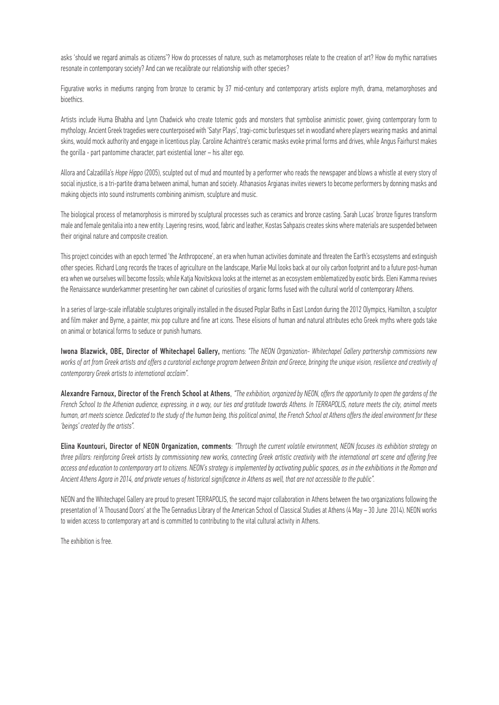asks 'should we regard animals as citizens'? How do processes of nature, such as metamorphoses relate to the creation of art? How do mythic narratives resonate in contemporary society? And can we recalibrate our relationship with other species?

Figurative works in mediums ranging from bronze to ceramic by 37 mid-century and contemporary artists explore myth, drama, metamorphoses and bioethics.

Artists include Huma Bhabha and Lynn Chadwick who create totemic gods and monsters that symbolise animistic power, giving contemporary form to mythology. Ancient Greek tragedies were counterpoised with 'Satyr Plays', tragi-comic burlesques set in woodland where players wearing masks and animal skins, would mock authority and engage in licentious play. Caroline Achaintre's ceramic masks evoke primal forms and drives, while Angus Fairhurst makes the gorilla - part pantomime character, part existential loner – his alter ego.

Allora and Calzadilla's *Hope Hippo* (2005), sculpted out of mud and mounted by a performer who reads the newspaper and blows a whistle at every story of social injustice, is a tri-partite drama between animal, human and society. Athanasios Argianas invites viewers to become performers by donning masks and making objects into sound instruments combining animism, sculpture and music.

The biological process of metamorphosis is mirrored by sculptural processes such as ceramics and bronze casting. Sarah Lucas' bronze figures transform male and female genitalia into a new entity. Layering resins, wood, fabric and leather, Kostas Sahpazis creates skins where materials are suspended between their original nature and composite creation.

This project coincides with an epoch termed 'the Anthropocene', an era when human activities dominate and threaten the Earth's ecosystems and extinguish other species. Richard Long records the traces of agriculture on the landscape, Marlie Mul looks back at our oily carbon footprint and to a future post-human era when we ourselves will become fossils; while Katja Novitskova looks at the internet as an ecosystem emblematized by exotic birds. Eleni Kamma revives the Renaissance wunderkammer presenting her own cabinet of curiosities of organic forms fused with the cultural world of contemporary Athens.

In a series of large-scale inflatable sculptures originally installed in the disused Poplar Baths in East London during the 2012 Olympics, Hamilton, a sculptor and film maker and Byrne, a painter, mix pop culture and fine art icons. These elisions of human and natural attributes echo Greek myths where gods take on animal or botanical forms to seduce or punish humans.

Iwona Blazwick, OBE, Director of Whitechapel Gallery, mentions: *"The NEON Organization- Whitechapel Gallery partnership commissions new works of art from Greek artists and offers a curatorial exchange program between Britain and Greece, bringing the unique vision, resilience and creativity of contemporary Greek artists to international acclaim".*

Alexandre Farnoux, Director of the French School at Athens, *"The exhibition, organized by NEON, offers the opportunity to open the gardens of the French School to the Athenian audience, expressing, in a way, our ties and gratitude towards Athens. In TERRAPOLIS, nature meets the city, animal meets human, art meets science. Dedicated to the study of the human being, this political animal, the French School at Athens offers the ideal environment for these 'beings' created by the artists".*

Elina Kountouri, Director of NEON Organization, comments: *"Through the current volatile environment, NEON focuses its exhibition strategy on three pillars: reinforcing Greek artists by commissioning new works, connecting Greek artistic creativity with the international art scene and offering free access and education to contemporary art to citizens. NEON's strategy is implemented by activating public spaces, as in the exhibitions in the Roman and Ancient Athens Agora in 2014, and private venues of historical significance in Athens as well, that are not accessible to the public".*

NEON and the Whitechapel Gallery are proud to present TERRAPOLIS, the second major collaboration in Athens between the two organizations following the presentation of 'A Thousand Doors' at the The Gennadius Library of the American School of Classical Studies at Athens (4 May – 30 June 2014). NEON works to widen access to contemporary art and is committed to contributing to the vital cultural activity in Athens.

The exhibition is free.